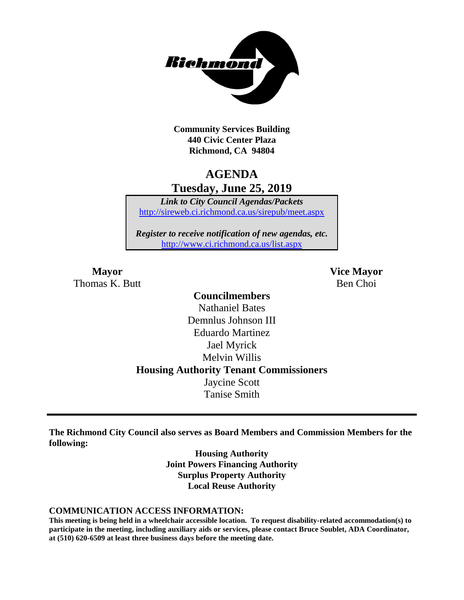

**Community Services Building 440 Civic Center Plaza Richmond, CA 94804**

## **AGENDA Tuesday, June 25, 2019**

*Link to City Council Agendas/Packets* <http://sireweb.ci.richmond.ca.us/sirepub/meet.aspx>

*Register to receive notification of new agendas, etc.* <http://www.ci.richmond.ca.us/list.aspx>

**Mayor Vice Mayor** Thomas K. Butt Ben Choi

## **Councilmembers** Nathaniel Bates Demnlus Johnson III Eduardo Martinez Jael Myrick Melvin Willis **Housing Authority Tenant Commissioners** Jaycine Scott Tanise Smith

**The Richmond City Council also serves as Board Members and Commission Members for the following:**

> **Housing Authority Joint Powers Financing Authority Surplus Property Authority Local Reuse Authority**

#### **COMMUNICATION ACCESS INFORMATION:**

**This meeting is being held in a wheelchair accessible location. To request disability-related accommodation(s) to participate in the meeting, including auxiliary aids or services, please contact Bruce Soublet, ADA Coordinator, at (510) 620-6509 at least three business days before the meeting date.**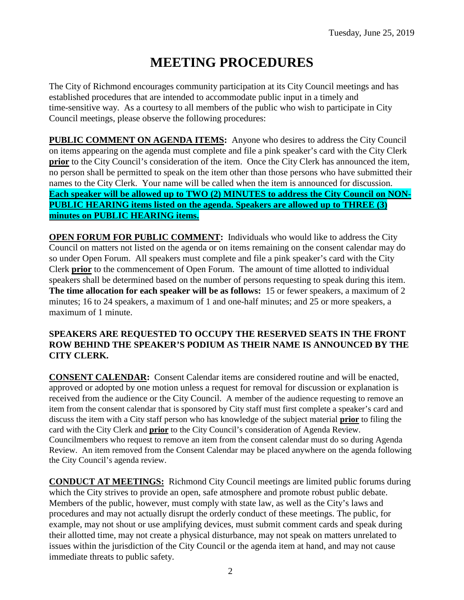# **MEETING PROCEDURES**

The City of Richmond encourages community participation at its City Council meetings and has established procedures that are intended to accommodate public input in a timely and time-sensitive way. As a courtesy to all members of the public who wish to participate in City Council meetings, please observe the following procedures:

**PUBLIC COMMENT ON AGENDA ITEMS:** Anyone who desires to address the City Council on items appearing on the agenda must complete and file a pink speaker's card with the City Clerk **prior** to the City Council's consideration of the item. Once the City Clerk has announced the item, no person shall be permitted to speak on the item other than those persons who have submitted their names to the City Clerk. Your name will be called when the item is announced for discussion. **Each speaker will be allowed up to TWO (2) MINUTES to address the City Council on NON-PUBLIC HEARING items listed on the agenda. Speakers are allowed up to THREE (3) minutes on PUBLIC HEARING items.**

**OPEN FORUM FOR PUBLIC COMMENT:** Individuals who would like to address the City Council on matters not listed on the agenda or on items remaining on the consent calendar may do so under Open Forum. All speakers must complete and file a pink speaker's card with the City Clerk **prior** to the commencement of Open Forum. The amount of time allotted to individual speakers shall be determined based on the number of persons requesting to speak during this item. **The time allocation for each speaker will be as follows:** 15 or fewer speakers, a maximum of 2 minutes; 16 to 24 speakers, a maximum of 1 and one-half minutes; and 25 or more speakers, a maximum of 1 minute.

### **SPEAKERS ARE REQUESTED TO OCCUPY THE RESERVED SEATS IN THE FRONT ROW BEHIND THE SPEAKER'S PODIUM AS THEIR NAME IS ANNOUNCED BY THE CITY CLERK.**

**CONSENT CALENDAR:** Consent Calendar items are considered routine and will be enacted, approved or adopted by one motion unless a request for removal for discussion or explanation is received from the audience or the City Council. A member of the audience requesting to remove an item from the consent calendar that is sponsored by City staff must first complete a speaker's card and discuss the item with a City staff person who has knowledge of the subject material **prior** to filing the card with the City Clerk and **prior** to the City Council's consideration of Agenda Review. Councilmembers who request to remove an item from the consent calendar must do so during Agenda Review. An item removed from the Consent Calendar may be placed anywhere on the agenda following the City Council's agenda review.

**CONDUCT AT MEETINGS:** Richmond City Council meetings are limited public forums during which the City strives to provide an open, safe atmosphere and promote robust public debate. Members of the public, however, must comply with state law, as well as the City's laws and procedures and may not actually disrupt the orderly conduct of these meetings. The public, for example, may not shout or use amplifying devices, must submit comment cards and speak during their allotted time, may not create a physical disturbance, may not speak on matters unrelated to issues within the jurisdiction of the City Council or the agenda item at hand, and may not cause immediate threats to public safety.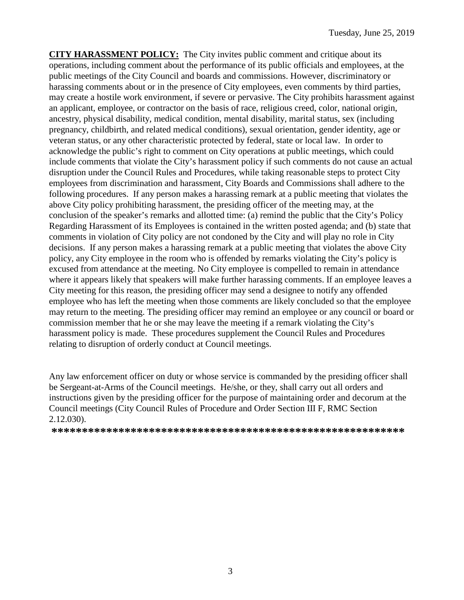**CITY HARASSMENT POLICY:** The City invites public comment and critique about its operations, including comment about the performance of its public officials and employees, at the public meetings of the City Council and boards and commissions. However, discriminatory or harassing comments about or in the presence of City employees, even comments by third parties, may create a hostile work environment, if severe or pervasive. The City prohibits harassment against an applicant, employee, or contractor on the basis of race, religious creed, color, national origin, ancestry, physical disability, medical condition, mental disability, marital status, sex (including pregnancy, childbirth, and related medical conditions), sexual orientation, gender identity, age or veteran status, or any other characteristic protected by federal, state or local law. In order to acknowledge the public's right to comment on City operations at public meetings, which could include comments that violate the City's harassment policy if such comments do not cause an actual disruption under the Council Rules and Procedures, while taking reasonable steps to protect City employees from discrimination and harassment, City Boards and Commissions shall adhere to the following procedures. If any person makes a harassing remark at a public meeting that violates the above City policy prohibiting harassment, the presiding officer of the meeting may, at the conclusion of the speaker's remarks and allotted time: (a) remind the public that the City's Policy Regarding Harassment of its Employees is contained in the written posted agenda; and (b) state that comments in violation of City policy are not condoned by the City and will play no role in City decisions. If any person makes a harassing remark at a public meeting that violates the above City policy, any City employee in the room who is offended by remarks violating the City's policy is excused from attendance at the meeting. No City employee is compelled to remain in attendance where it appears likely that speakers will make further harassing comments. If an employee leaves a City meeting for this reason, the presiding officer may send a designee to notify any offended employee who has left the meeting when those comments are likely concluded so that the employee may return to the meeting. The presiding officer may remind an employee or any council or board or commission member that he or she may leave the meeting if a remark violating the City's harassment policy is made. These procedures supplement the Council Rules and Procedures relating to disruption of orderly conduct at Council meetings.

Any law enforcement officer on duty or whose service is commanded by the presiding officer shall be Sergeant-at-Arms of the Council meetings. He/she, or they, shall carry out all orders and instructions given by the presiding officer for the purpose of maintaining order and decorum at the Council meetings (City Council Rules of Procedure and Order Section III F, RMC Section 2.12.030).

**\*\*\*\*\*\*\*\*\*\*\*\*\*\*\*\*\*\*\*\*\*\*\*\*\*\*\*\*\*\*\*\*\*\*\*\*\*\*\*\*\*\*\*\*\*\*\*\*\*\*\*\*\*\*\*\*\*\***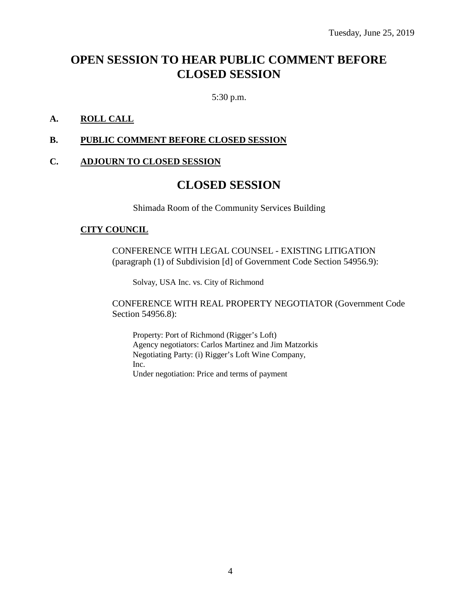## **OPEN SESSION TO HEAR PUBLIC COMMENT BEFORE CLOSED SESSION**

5:30 p.m.

### **A. ROLL CALL**

### **B. PUBLIC COMMENT BEFORE CLOSED SESSION**

#### **C. ADJOURN TO CLOSED SESSION**

## **CLOSED SESSION**

Shimada Room of the Community Services Building

#### **CITY COUNCIL**

CONFERENCE WITH LEGAL COUNSEL - EXISTING LITIGATION (paragraph (1) of Subdivision [d] of Government Code Section 54956.9):

Solvay, USA Inc. vs. City of Richmond

CONFERENCE WITH REAL PROPERTY NEGOTIATOR (Government Code Section 54956.8):

Property: Port of Richmond (Rigger's Loft) Agency negotiators: Carlos Martinez and Jim Matzorkis Negotiating Party: (i) Rigger's Loft Wine Company, Inc. Under negotiation: Price and terms of payment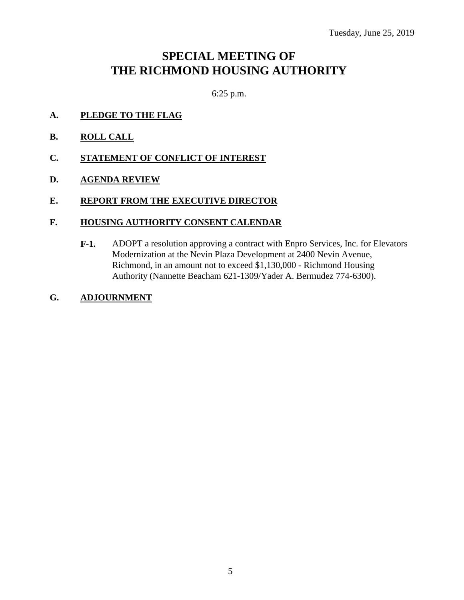## **SPECIAL MEETING OF THE RICHMOND HOUSING AUTHORITY**

6:25 p.m.

- **A. PLEDGE TO THE FLAG**
- **B. ROLL CALL**
- **C. STATEMENT OF CONFLICT OF INTEREST**
- **D. AGENDA REVIEW**

### **E. REPORT FROM THE EXECUTIVE DIRECTOR**

### **F. HOUSING AUTHORITY CONSENT CALENDAR**

- **F-1.** ADOPT a resolution approving a contract with Enpro Services, Inc. for Elevators Modernization at the Nevin Plaza Development at 2400 Nevin Avenue, Richmond, in an amount not to exceed \$1,130,000 - Richmond Housing Authority (Nannette Beacham 621-1309/Yader A. Bermudez 774-6300).
- **G. ADJOURNMENT**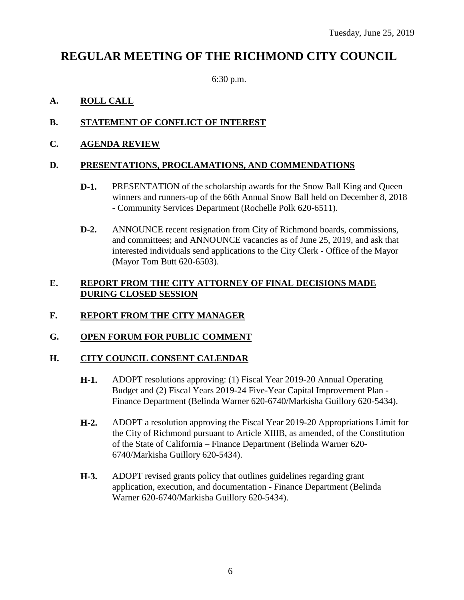## **REGULAR MEETING OF THE RICHMOND CITY COUNCIL**

6:30 p.m.

## **A. ROLL CALL**

## **B. STATEMENT OF CONFLICT OF INTEREST**

**C. AGENDA REVIEW**

## **D. PRESENTATIONS, PROCLAMATIONS, AND COMMENDATIONS**

- **D-1.** PRESENTATION of the scholarship awards for the Snow Ball King and Queen winners and runners-up of the 66th Annual Snow Ball held on December 8, 2018 - Community Services Department (Rochelle Polk 620-6511).
- **D-2.** ANNOUNCE recent resignation from City of Richmond boards, commissions, and committees; and ANNOUNCE vacancies as of June 25, 2019, and ask that interested individuals send applications to the City Clerk - Office of the Mayor (Mayor Tom Butt 620-6503).

### **E. REPORT FROM THE CITY ATTORNEY OF FINAL DECISIONS MADE DURING CLOSED SESSION**

## **F. REPORT FROM THE CITY MANAGER**

## **G. OPEN FORUM FOR PUBLIC COMMENT**

## **H. CITY COUNCIL CONSENT CALENDAR**

- **H-1.** ADOPT resolutions approving: (1) Fiscal Year 2019-20 Annual Operating Budget and (2) Fiscal Years 2019-24 Five-Year Capital Improvement Plan - Finance Department (Belinda Warner 620-6740/Markisha Guillory 620-5434).
- **H-2.** ADOPT a resolution approving the Fiscal Year 2019-20 Appropriations Limit for the City of Richmond pursuant to Article XIIIB, as amended, of the Constitution of the State of California – Finance Department (Belinda Warner 620- 6740/Markisha Guillory 620-5434).
- **H-3.** ADOPT revised grants policy that outlines guidelines regarding grant application, execution, and documentation - Finance Department (Belinda Warner 620-6740/Markisha Guillory 620-5434).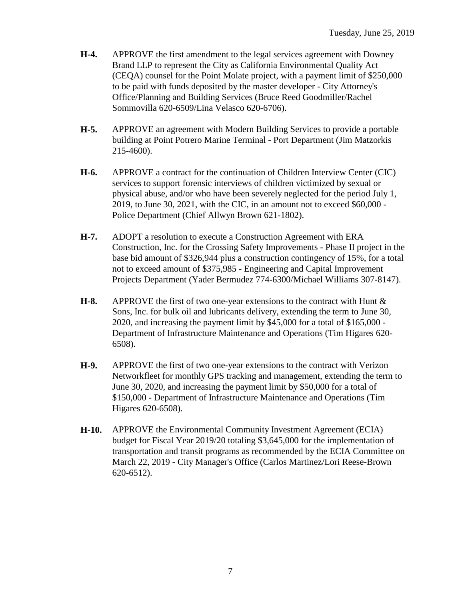- **H-4.** APPROVE the first amendment to the legal services agreement with Downey Brand LLP to represent the City as California Environmental Quality Act (CEQA) counsel for the Point Molate project, with a payment limit of \$250,000 to be paid with funds deposited by the master developer - City Attorney's Office/Planning and Building Services (Bruce Reed Goodmiller/Rachel Sommovilla 620-6509/Lina Velasco 620-6706).
- **H-5.** APPROVE an agreement with Modern Building Services to provide a portable building at Point Potrero Marine Terminal - Port Department (Jim Matzorkis 215-4600).
- **H-6.** APPROVE a contract for the continuation of Children Interview Center (CIC) services to support forensic interviews of children victimized by sexual or physical abuse, and/or who have been severely neglected for the period July 1, 2019, to June 30, 2021, with the CIC, in an amount not to exceed \$60,000 - Police Department (Chief Allwyn Brown 621-1802).
- **H-7.** ADOPT a resolution to execute a Construction Agreement with ERA Construction, Inc. for the Crossing Safety Improvements - Phase II project in the base bid amount of \$326,944 plus a construction contingency of 15%, for a total not to exceed amount of \$375,985 - Engineering and Capital Improvement Projects Department (Yader Bermudez 774-6300/Michael Williams 307-8147).
- **H-8.** APPROVE the first of two one-year extensions to the contract with Hunt & Sons, Inc. for bulk oil and lubricants delivery, extending the term to June 30, 2020, and increasing the payment limit by \$45,000 for a total of \$165,000 - Department of Infrastructure Maintenance and Operations (Tim Higares 620- 6508).
- **H-9.** APPROVE the first of two one-year extensions to the contract with Verizon Networkfleet for monthly GPS tracking and management, extending the term to June 30, 2020, and increasing the payment limit by \$50,000 for a total of \$150,000 - Department of Infrastructure Maintenance and Operations (Tim Higares 620-6508).
- **H-10.** APPROVE the Environmental Community Investment Agreement (ECIA) budget for Fiscal Year 2019/20 totaling \$3,645,000 for the implementation of transportation and transit programs as recommended by the ECIA Committee on March 22, 2019 - City Manager's Office (Carlos Martinez/Lori Reese-Brown 620-6512).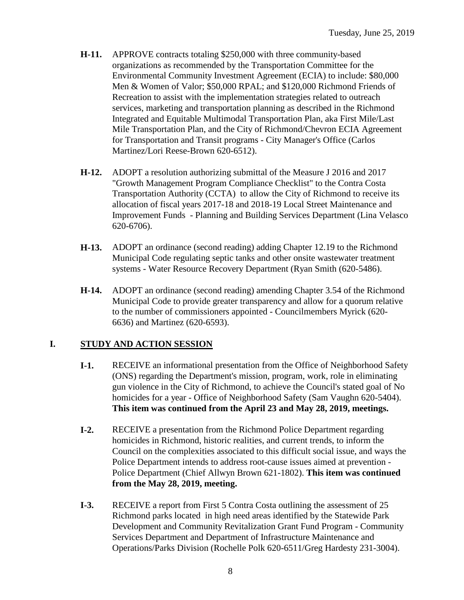- **H-11.** APPROVE contracts totaling \$250,000 with three community-based organizations as recommended by the Transportation Committee for the Environmental Community Investment Agreement (ECIA) to include: \$80,000 Men & Women of Valor; \$50,000 RPAL; and \$120,000 Richmond Friends of Recreation to assist with the implementation strategies related to outreach services, marketing and transportation planning as described in the Richmond Integrated and Equitable Multimodal Transportation Plan, aka First Mile/Last Mile Transportation Plan, and the City of Richmond/Chevron ECIA Agreement for Transportation and Transit programs - City Manager's Office (Carlos Martinez/Lori Reese-Brown 620-6512).
- **H-12.** ADOPT a resolution authorizing submittal of the Measure J 2016 and 2017 "Growth Management Program Compliance Checklist" to the Contra Costa Transportation Authority (CCTA) to allow the City of Richmond to receive its allocation of fiscal years 2017-18 and 2018-19 Local Street Maintenance and Improvement Funds - Planning and Building Services Department (Lina Velasco 620-6706).
- **H-13.** ADOPT an ordinance (second reading) adding Chapter 12.19 to the Richmond Municipal Code regulating septic tanks and other onsite wastewater treatment systems - Water Resource Recovery Department (Ryan Smith (620-5486).
- **H-14.** ADOPT an ordinance (second reading) amending Chapter 3.54 of the Richmond Municipal Code to provide greater transparency and allow for a quorum relative to the number of commissioners appointed - Councilmembers Myrick (620- 6636) and Martinez (620-6593).

## **I. STUDY AND ACTION SESSION**

- **I-1.** RECEIVE an informational presentation from the Office of Neighborhood Safety (ONS) regarding the Department's mission, program, work, role in eliminating gun violence in the City of Richmond, to achieve the Council's stated goal of No homicides for a year - Office of Neighborhood Safety (Sam Vaughn 620-5404). **This item was continued from the April 23 and May 28, 2019, meetings.**
- **I-2.** RECEIVE a presentation from the Richmond Police Department regarding homicides in Richmond, historic realities, and current trends, to inform the Council on the complexities associated to this difficult social issue, and ways the Police Department intends to address root-cause issues aimed at prevention - Police Department (Chief Allwyn Brown 621-1802). **This item was continued from the May 28, 2019, meeting.**
- **I-3.** RECEIVE a report from First 5 Contra Costa outlining the assessment of 25 Richmond parks located in high need areas identified by the Statewide Park Development and Community Revitalization Grant Fund Program - Community Services Department and Department of Infrastructure Maintenance and Operations/Parks Division (Rochelle Polk 620-6511/Greg Hardesty 231-3004).